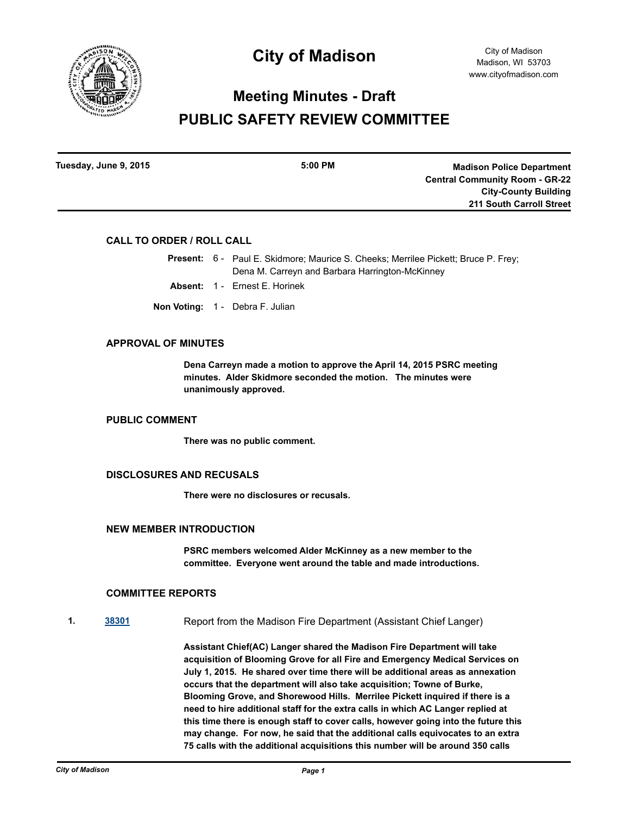

# **Meeting Minutes - Draft PUBLIC SAFETY REVIEW COMMITTEE**

| <b>Madison Police Department</b>      | $5:00$ PM | Tuesday, June 9, 2015 |
|---------------------------------------|-----------|-----------------------|
| <b>Central Community Room - GR-22</b> |           |                       |
| <b>City-County Building</b>           |           |                       |
| <b>211 South Carroll Street</b>       |           |                       |

## **CALL TO ORDER / ROLL CALL**

Present: 6 - Paul E. Skidmore; Maurice S. Cheeks; Merrilee Pickett; Bruce P. Frey; Dena M. Carreyn and Barbara Harrington-McKinney

- **Absent:** 1 Ernest E. Horinek
- **Non Voting:** 1 Debra F. Julian

#### **APPROVAL OF MINUTES**

**Dena Carreyn made a motion to approve the April 14, 2015 PSRC meeting minutes. Alder Skidmore seconded the motion. The minutes were unanimously approved.**

## **PUBLIC COMMENT**

**There was no public comment.**

## **DISCLOSURES AND RECUSALS**

**There were no disclosures or recusals.**

#### **NEW MEMBER INTRODUCTION**

**PSRC members welcomed Alder McKinney as a new member to the committee. Everyone went around the table and made introductions.**

## **COMMITTEE REPORTS**

**1. [38301](http://madison.legistar.com/gateway.aspx?m=l&id=/matter.aspx?key=40994)** Report from the Madison Fire Department (Assistant Chief Langer)

**Assistant Chief(AC) Langer shared the Madison Fire Department will take acquisition of Blooming Grove for all Fire and Emergency Medical Services on July 1, 2015. He shared over time there will be additional areas as annexation occurs that the department will also take acquisition; Towne of Burke, Blooming Grove, and Shorewood Hills. Merrilee Pickett inquired if there is a need to hire additional staff for the extra calls in which AC Langer replied at this time there is enough staff to cover calls, however going into the future this may change. For now, he said that the additional calls equivocates to an extra 75 calls with the additional acquisitions this number will be around 350 calls**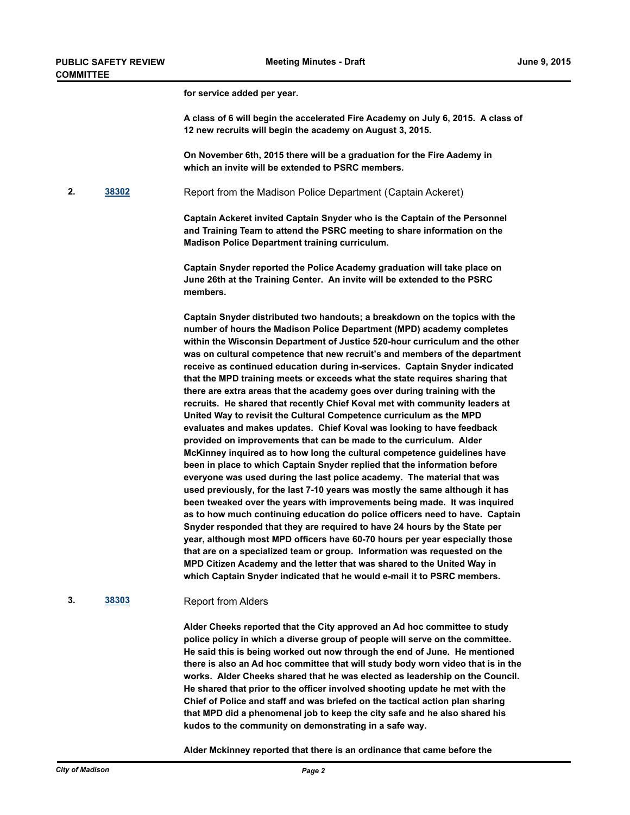**for service added per year.** 

**A class of 6 will begin the accelerated Fire Academy on July 6, 2015. A class of 12 new recruits will begin the academy on August 3, 2015.** 

**On November 6th, 2015 there will be a graduation for the Fire Aademy in which an invite will be extended to PSRC members.**

**2. [38302](http://madison.legistar.com/gateway.aspx?m=l&id=/matter.aspx?key=40995)** Report from the Madison Police Department (Captain Ackeret)

**Captain Ackeret invited Captain Snyder who is the Captain of the Personnel and Training Team to attend the PSRC meeting to share information on the Madison Police Department training curriculum.**

**Captain Snyder reported the Police Academy graduation will take place on June 26th at the Training Center. An invite will be extended to the PSRC members.** 

**Captain Snyder distributed two handouts; a breakdown on the topics with the number of hours the Madison Police Department (MPD) academy completes within the Wisconsin Department of Justice 520-hour curriculum and the other was on cultural competence that new recruit's and members of the department receive as continued education during in-services. Captain Snyder indicated that the MPD training meets or exceeds what the state requires sharing that there are extra areas that the academy goes over during training with the recruits. He shared that recently Chief Koval met with community leaders at United Way to revisit the Cultural Competence curriculum as the MPD evaluates and makes updates. Chief Koval was looking to have feedback provided on improvements that can be made to the curriculum. Alder McKinney inquired as to how long the cultural competence guidelines have been in place to which Captain Snyder replied that the information before everyone was used during the last police academy. The material that was used previously, for the last 7-10 years was mostly the same although it has been tweaked over the years with improvements being made. It was inquired as to how much continuing education do police officers need to have. Captain Snyder responded that they are required to have 24 hours by the State per year, although most MPD officers have 60-70 hours per year especially those that are on a specialized team or group. Information was requested on the MPD Citizen Academy and the letter that was shared to the United Way in which Captain Snyder indicated that he would e-mail it to PSRC members.**

#### **3. [38303](http://madison.legistar.com/gateway.aspx?m=l&id=/matter.aspx?key=40996)** Report from Alders

**Alder Cheeks reported that the City approved an Ad hoc committee to study police policy in which a diverse group of people will serve on the committee. He said this is being worked out now through the end of June. He mentioned there is also an Ad hoc committee that will study body worn video that is in the works. Alder Cheeks shared that he was elected as leadership on the Council. He shared that prior to the officer involved shooting update he met with the Chief of Police and staff and was briefed on the tactical action plan sharing that MPD did a phenomenal job to keep the city safe and he also shared his kudos to the community on demonstrating in a safe way.** 

**Alder Mckinney reported that there is an ordinance that came before the**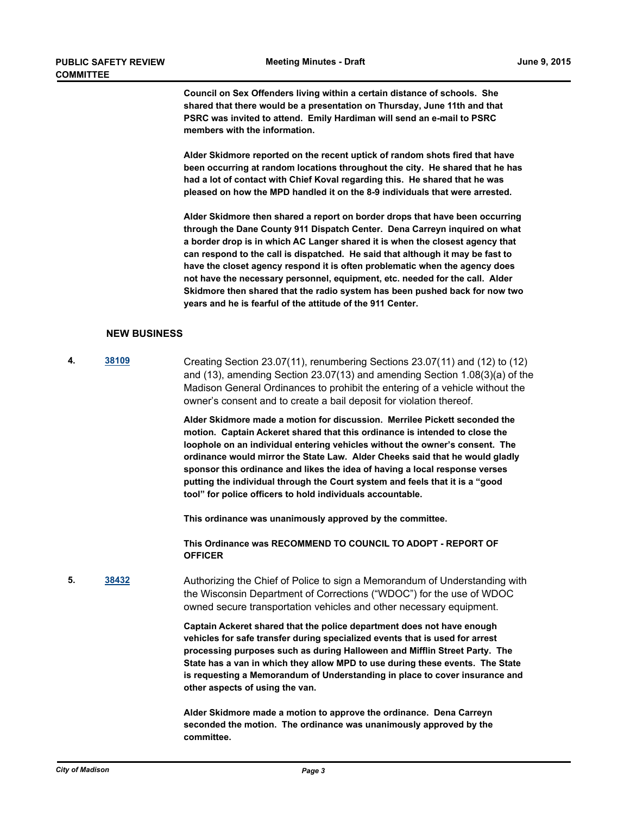**Council on Sex Offenders living within a certain distance of schools. She shared that there would be a presentation on Thursday, June 11th and that PSRC was invited to attend. Emily Hardiman will send an e-mail to PSRC members with the information.** 

**Alder Skidmore reported on the recent uptick of random shots fired that have been occurring at random locations throughout the city. He shared that he has had a lot of contact with Chief Koval regarding this. He shared that he was pleased on how the MPD handled it on the 8-9 individuals that were arrested.**

**Alder Skidmore then shared a report on border drops that have been occurring through the Dane County 911 Dispatch Center. Dena Carreyn inquired on what a border drop is in which AC Langer shared it is when the closest agency that can respond to the call is dispatched. He said that although it may be fast to have the closet agency respond it is often problematic when the agency does not have the necessary personnel, equipment, etc. needed for the call. Alder Skidmore then shared that the radio system has been pushed back for now two years and he is fearful of the attitude of the 911 Center.**

## **NEW BUSINESS**

**4. [38109](http://madison.legistar.com/gateway.aspx?m=l&id=/matter.aspx?key=40829)** Creating Section 23.07(11), renumbering Sections 23.07(11) and (12) to (12) and (13), amending Section 23.07(13) and amending Section 1.08(3)(a) of the Madison General Ordinances to prohibit the entering of a vehicle without the owner's consent and to create a bail deposit for violation thereof.

> **Alder Skidmore made a motion for discussion. Merrilee Pickett seconded the motion. Captain Ackeret shared that this ordinance is intended to close the loophole on an individual entering vehicles without the owner's consent. The ordinance would mirror the State Law. Alder Cheeks said that he would gladly sponsor this ordinance and likes the idea of having a local response verses putting the individual through the Court system and feels that it is a "good tool" for police officers to hold individuals accountable.**

**This ordinance was unanimously approved by the committee.** 

**This Ordinance was RECOMMEND TO COUNCIL TO ADOPT - REPORT OF OFFICER**

**5. [38432](http://madison.legistar.com/gateway.aspx?m=l&id=/matter.aspx?key=41122)** Authorizing the Chief of Police to sign a Memorandum of Understanding with the Wisconsin Department of Corrections ("WDOC") for the use of WDOC owned secure transportation vehicles and other necessary equipment.

> **Captain Ackeret shared that the police department does not have enough vehicles for safe transfer during specialized events that is used for arrest processing purposes such as during Halloween and Mifflin Street Party. The State has a van in which they allow MPD to use during these events. The State is requesting a Memorandum of Understanding in place to cover insurance and other aspects of using the van.**

**Alder Skidmore made a motion to approve the ordinance. Dena Carreyn seconded the motion. The ordinance was unanimously approved by the committee.**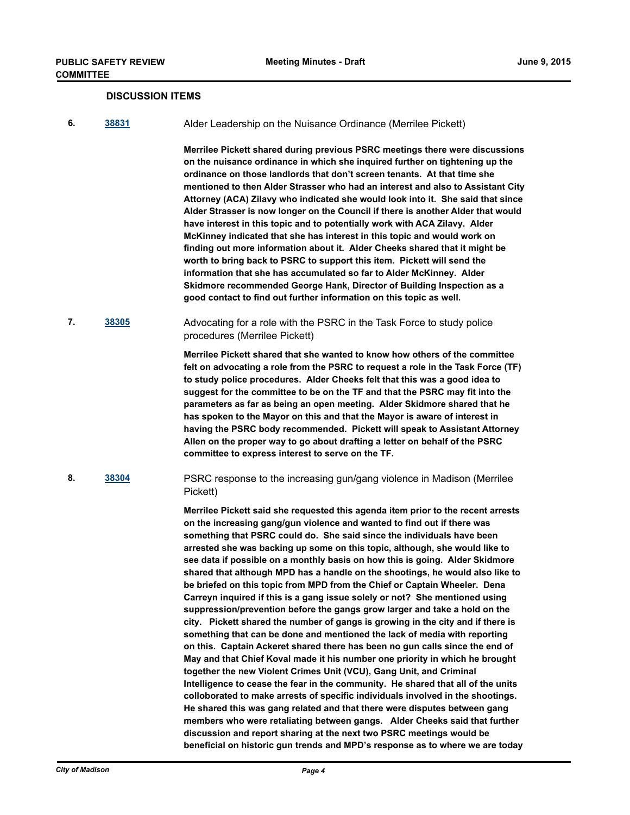#### **DISCUSSION ITEMS**

**6. [38831](http://madison.legistar.com/gateway.aspx?m=l&id=/matter.aspx?key=41468)** Alder Leadership on the Nuisance Ordinance (Merrilee Pickett)

**Merrilee Pickett shared during previous PSRC meetings there were discussions on the nuisance ordinance in which she inquired further on tightening up the ordinance on those landlords that don't screen tenants. At that time she mentioned to then Alder Strasser who had an interest and also to Assistant City Attorney (ACA) Zilavy who indicated she would look into it. She said that since Alder Strasser is now longer on the Council if there is another Alder that would have interest in this topic and to potentially work with ACA Zilavy. Alder McKinney indicated that she has interest in this topic and would work on finding out more information about it. Alder Cheeks shared that it might be worth to bring back to PSRC to support this item. Pickett will send the information that she has accumulated so far to Alder McKinney. Alder Skidmore recommended George Hank, Director of Building Inspection as a good contact to find out further information on this topic as well.**

**7. [38305](http://madison.legistar.com/gateway.aspx?m=l&id=/matter.aspx?key=40998)** Advocating for a role with the PSRC in the Task Force to study police procedures (Merrilee Pickett)

> **Merrilee Pickett shared that she wanted to know how others of the committee felt on advocating a role from the PSRC to request a role in the Task Force (TF) to study police procedures. Alder Cheeks felt that this was a good idea to suggest for the committee to be on the TF and that the PSRC may fit into the parameters as far as being an open meeting. Alder Skidmore shared that he has spoken to the Mayor on this and that the Mayor is aware of interest in having the PSRC body recommended. Pickett will speak to Assistant Attorney Allen on the proper way to go about drafting a letter on behalf of the PSRC committee to express interest to serve on the TF.**

**8. [38304](http://madison.legistar.com/gateway.aspx?m=l&id=/matter.aspx?key=40997)** PSRC response to the increasing gun/gang violence in Madison (Merrilee Pickett)

> **Merrilee Pickett said she requested this agenda item prior to the recent arrests on the increasing gang/gun violence and wanted to find out if there was something that PSRC could do. She said since the individuals have been arrested she was backing up some on this topic, although, she would like to see data if possible on a monthly basis on how this is going. Alder Skidmore shared that although MPD has a handle on the shootings, he would also like to be briefed on this topic from MPD from the Chief or Captain Wheeler. Dena Carreyn inquired if this is a gang issue solely or not? She mentioned using suppression/prevention before the gangs grow larger and take a hold on the city. Pickett shared the number of gangs is growing in the city and if there is something that can be done and mentioned the lack of media with reporting on this. Captain Ackeret shared there has been no gun calls since the end of May and that Chief Koval made it his number one priority in which he brought together the new Violent Crimes Unit (VCU), Gang Unit, and Criminal Intelligence to cease the fear in the community. He shared that all of the units colloborated to make arrests of specific individuals involved in the shootings. He shared this was gang related and that there were disputes between gang members who were retaliating between gangs. Alder Cheeks said that further discussion and report sharing at the next two PSRC meetings would be beneficial on historic gun trends and MPD's response as to where we are today**